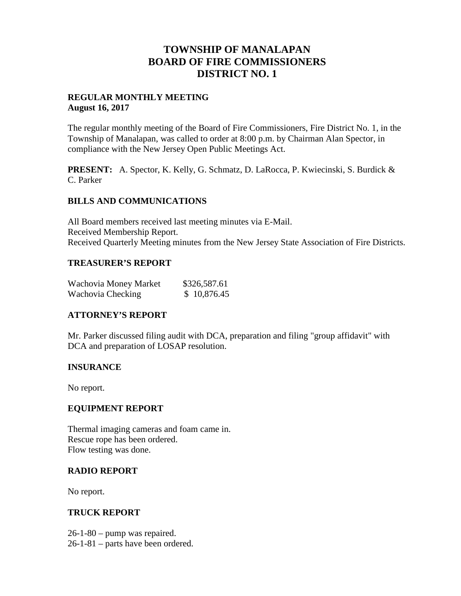# **TOWNSHIP OF MANALAPAN BOARD OF FIRE COMMISSIONERS DISTRICT NO. 1**

## **REGULAR MONTHLY MEETING August 16, 2017**

The regular monthly meeting of the Board of Fire Commissioners, Fire District No. 1, in the Township of Manalapan, was called to order at 8:00 p.m. by Chairman Alan Spector, in compliance with the New Jersey Open Public Meetings Act.

**PRESENT:** A. Spector, K. Kelly, G. Schmatz, D. LaRocca, P. Kwiecinski, S. Burdick & C. Parker

## **BILLS AND COMMUNICATIONS**

All Board members received last meeting minutes via E-Mail. Received Membership Report. Received Quarterly Meeting minutes from the New Jersey State Association of Fire Districts.

## **TREASURER'S REPORT**

| Wachovia Money Market | \$326,587.61 |
|-----------------------|--------------|
| Wachovia Checking     | \$10,876.45  |

# **ATTORNEY'S REPORT**

Mr. Parker discussed filing audit with DCA, preparation and filing "group affidavit" with DCA and preparation of LOSAP resolution.

# **INSURANCE**

No report.

#### **EQUIPMENT REPORT**

Thermal imaging cameras and foam came in. Rescue rope has been ordered. Flow testing was done.

#### **RADIO REPORT**

No report.

#### **TRUCK REPORT**

26-1-80 – pump was repaired.

26-1-81 – parts have been ordered.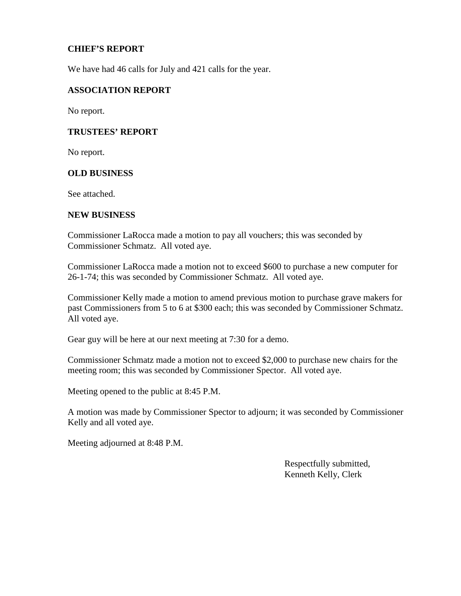## **CHIEF'S REPORT**

We have had 46 calls for July and 421 calls for the year.

#### **ASSOCIATION REPORT**

No report.

#### **TRUSTEES' REPORT**

No report.

#### **OLD BUSINESS**

See attached.

#### **NEW BUSINESS**

Commissioner LaRocca made a motion to pay all vouchers; this was seconded by Commissioner Schmatz. All voted aye.

Commissioner LaRocca made a motion not to exceed \$600 to purchase a new computer for 26-1-74; this was seconded by Commissioner Schmatz. All voted aye.

Commissioner Kelly made a motion to amend previous motion to purchase grave makers for past Commissioners from 5 to 6 at \$300 each; this was seconded by Commissioner Schmatz. All voted aye.

Gear guy will be here at our next meeting at 7:30 for a demo.

Commissioner Schmatz made a motion not to exceed \$2,000 to purchase new chairs for the meeting room; this was seconded by Commissioner Spector. All voted aye.

Meeting opened to the public at 8:45 P.M.

A motion was made by Commissioner Spector to adjourn; it was seconded by Commissioner Kelly and all voted aye.

Meeting adjourned at 8:48 P.M.

Respectfully submitted, Kenneth Kelly, Clerk